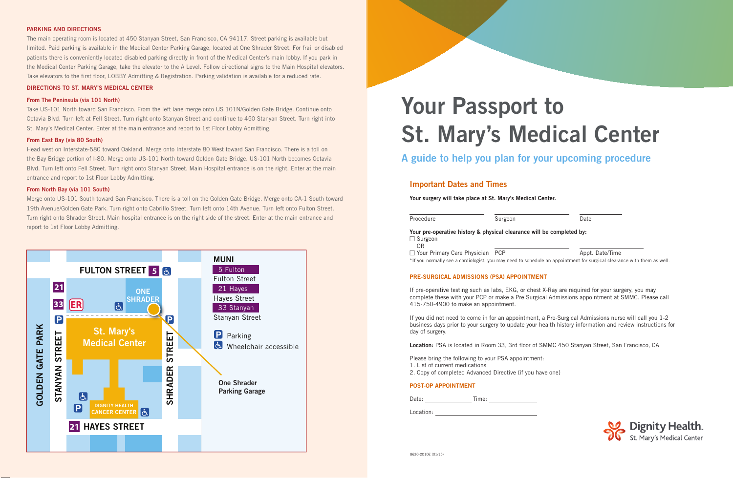

# **Important Dates and Times**

**Your surgery will take place at St. Mary's Medical Center.**



\*If you normally see a cardiologist, you may need to schedule an appointment for surgical clearance with them as well.



# **PRE-SURGICAL ADMISSIONS (PSA) APPOINTMENT**

If pre-operative testing such as labs, EKG, or chest X-Ray are required for your surgery, you may complete these with your PCP or make a Pre Surgical Admissions appointment at SMMC. Please call 415-750-4900 to make an appointment.

If you did not need to come in for an appointment, a Pre-Surgical Admissions nurse will call you 1-2 business days prior to your surgery to update your health history information and review instructions for day of surgery.

**Location:** PSA is located in Room 33, 3rd floor of SMMC 450 Stanyan Street, San Francisco, CA

- Please bring the following to your PSA appointment:
- 1. List of current medications
- 2. Copy of completed Advanced Directive (if you have one)

## **POST-OP APPOINTMENT**

Date: Time:

Location: **Example 2018** 

## **PARKING AND DIRECTIONS**

The main operating room is located at 450 Stanyan Street, San Francisco, CA 94117. Street parking is available but limited. Paid parking is available in the Medical Center Parking Garage, located at One Shrader Street. For frail or disabled patients there is conveniently located disabled parking directly in front of the Medical Center's main lobby. If you park in the Medical Center Parking Garage, take the elevator to the A Level. Follow directional signs to the Main Hospital elevators. Take elevators to the first floor, LOBBY Admitting & Registration. Parking validation is available for a reduced rate.

#### **DIRECTIONS TO ST. MARY'S MEDICAL CENTER**

#### **From The Peninsula (via 101 North)**

Take US-101 North toward San Francisco. From the left lane merge onto US 101N/Golden Gate Bridge. Continue onto Octavia Blvd. Turn left at Fell Street. Turn right onto Stanyan Street and continue to 450 Stanyan Street. Turn right into St. Mary's Medical Center. Enter at the main entrance and report to 1st Floor Lobby Admitting.

#### **From East Bay (via 80 South)**

Head west on Interstate-580 toward Oakland. Merge onto Interstate 80 West toward San Francisco. There is a toll on the Bay Bridge portion of I-80. Merge onto US-101 North toward Golden Gate Bridge. US-101 North becomes Octavia Blvd. Turn left onto Fell Street. Turn right onto Stanyan Street. Main Hospital entrance is on the right. Enter at the main entrance and report to 1st Floor Lobby Admitting.

#### **From North Bay (via 101 South)**

Merge onto US-101 South toward San Francisco. There is a toll on the Golden Gate Bridge. Merge onto CA-1 South toward 19th Avenue/Golden Gate Park. Turn right onto Cabrillo Street. Turn left onto 14th Avenue. Turn left onto Fulton Street. Turn right onto Shrader Street. Main hospital entrance is on the right side of the street. Enter at the main entrance and report to 1st Floor Lobby Admitting.

# **Your Passport to St. Mary's Medical Center**

**A guide to help you plan for your upcoming procedure**